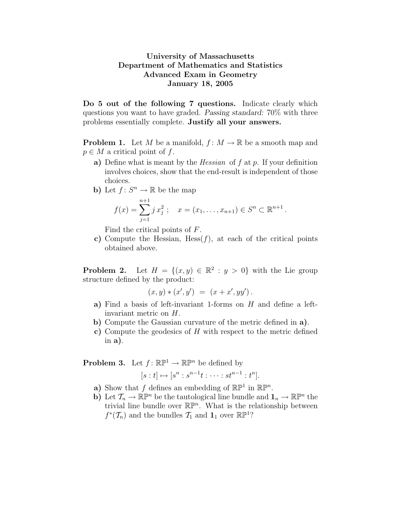## University of Massachusetts Department of Mathematics and Statistics Advanced Exam in Geometry January 18, 2005

Do 5 out of the following 7 questions. Indicate clearly which questions you want to have graded. Passing standard: 70% with three problems essentially complete. Justify all your answers.

**Problem 1.** Let M be a manifold,  $f: M \to \mathbb{R}$  be a smooth map and  $p \in M$  a critical point of f.

- a) Define what is meant by the *Hessian* of  $f$  at  $p$ . If your definition involves choices, show that the end-result is independent of those choices.
- b) Let  $f: S^n \to \mathbb{R}$  be the map

$$
f(x) = \sum_{j=1}^{n+1} j x_j^2 ; \quad x = (x_1, \dots, x_{n+1}) \in S^n \subset \mathbb{R}^{n+1}.
$$

Find the critical points of F.

c) Compute the Hessian,  $Hess(f)$ , at each of the critical points obtained above.

**Problem 2.** Let  $H = \{(x, y) \in \mathbb{R}^2 : y > 0\}$  with the Lie group structure defined by the product:

$$
(x, y) * (x', y') = (x + x', yy').
$$

- a) Find a basis of left-invariant 1-forms on  $H$  and define a leftinvariant metric on H.
- b) Compute the Gaussian curvature of the metric defined in a).
- c) Compute the geodesics of  $H$  with respect to the metric defined in  $a$ ).

**Problem 3.** Let  $f: \mathbb{RP}^1 \to \mathbb{RP}^n$  be defined by

$$
[s:t] \mapsto [s^n : s^{n-1}t : \cdots : st^{n-1} : t^n].
$$

- a) Show that f defines an embedding of  $\mathbb{RP}^1$  in  $\mathbb{RP}^n$ .
- b) Let  $\mathcal{T}_n \to \mathbb{R} \mathbb{P}^n$  be the tautological line bundle and  $\mathbf{1}_n \to \mathbb{R} \mathbb{P}^n$  the trivial line bundle over  $\mathbb{R}\mathbb{P}^n$ . What is the relationship between  $f^*(\mathcal{T}_n)$  and the bundles  $\mathcal{T}_1$  and  $\mathbf{1}_1$  over  $\mathbb{RP}^1$ ?